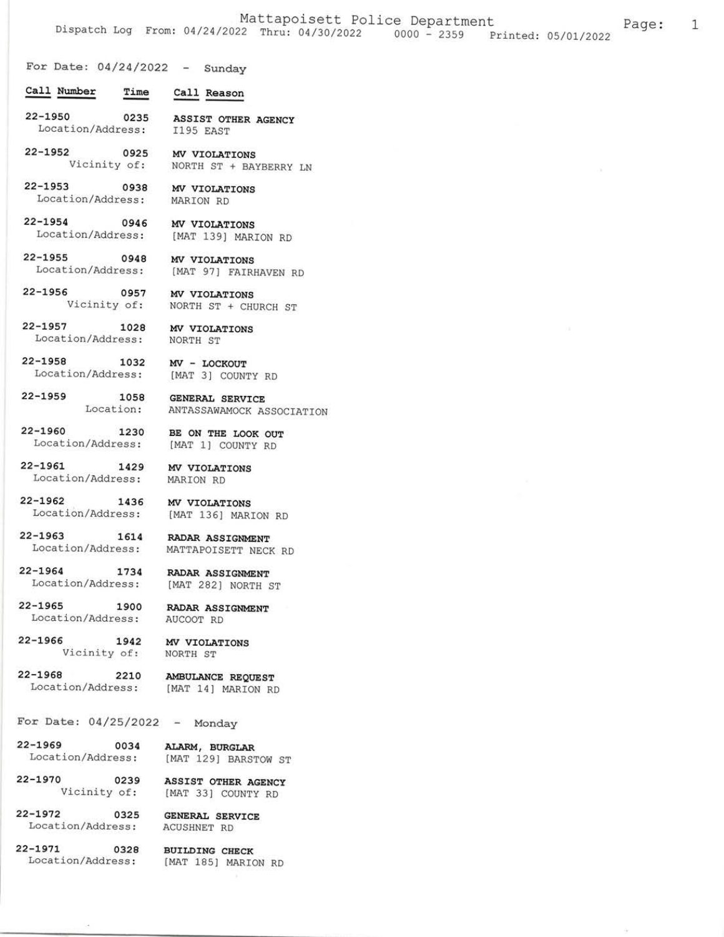1

For Date:  $04/24/2022 -$  Sunday

- Call Number Time Call Reason
- $22 1950$ 0235 ASSIST OTHER AGENCY Location/Address: I195 EAST
- $22 1952$ 0925 MV VIOLATIONS Vicinity of: NORTH ST + BAYBERRY LN
- $22 1953$ 0938 MV VIOLATIONS Location/Address: MARION RD
- $22 1954$ 0946 MV VIOLATIONS Location/Address: [MAT 139] MARION RD
- $22 1955$ 0948 MV VIOLATIONS Location/Address:
- $22 1956$ 0957 Vicinity of: NORTH ST + CHURCH ST
- $22 1957$ 1028 Location/Address: NORTH ST

 $22 - 1958$ 

MV VIOLATIONS

BE ON THE LOOK OUT

[MAT 136] MARION RD

MATTAPOISETT NECK RD

RADAR ASSIGNMENT

[MAT 282] NORTH ST

RADAR ASSIGNMENT

**RADAR ASSIGNMENT** 

[MAT 1] COUNTY RD

MV VIOLATIONS

[MAT 97] FAIRHAVEN RD

- 1032 MV - LOCKOUT Location/Address: [MAT 3] COUNTY RD
- $22 1959$ 1058 GENERAL SERVICE Location: ANTASSAWAMOCK ASSOCIATION
- 22-1960 1230 Location/Address:
- $22 1961$ 1429 MV VIOLATIONS Location/Address: MARION RD
- $22 1962$ 1436 MV VIOLATIONS Location/Address:
- $22 1963$ 1614 Location/Address:
- $22 1964$ 1734 Location/Address:
- $22 1965$ 1900 Location/Address:

 $22 - 1966$ 

MV VIOLATIONS

AUCOOT RD

- NORTH ST
- $22 1968$ 2210 AMBULANCE REQUEST Location/Address: [MAT 14] MARION RD

1942

For Date:  $04/25/2022$  - Monday

Vicinity of:

- $22 1969$ 0034 Location/Address:
- 
- ALARM, BURGLAR [MAT 129] BARSTOW ST
- 22-1970 0239 ASSIST OTHER AGENCY Vicinity of: [MAT 33] COUNTY RD
- $22 1972$ 0325 Location/Address:
- $22 1971$ 0328 Location/Address:
- **BUILDING CHECK** [MAT 185] MARION RD

**GENERAL SERVICE** 

**ACUSHNET RD**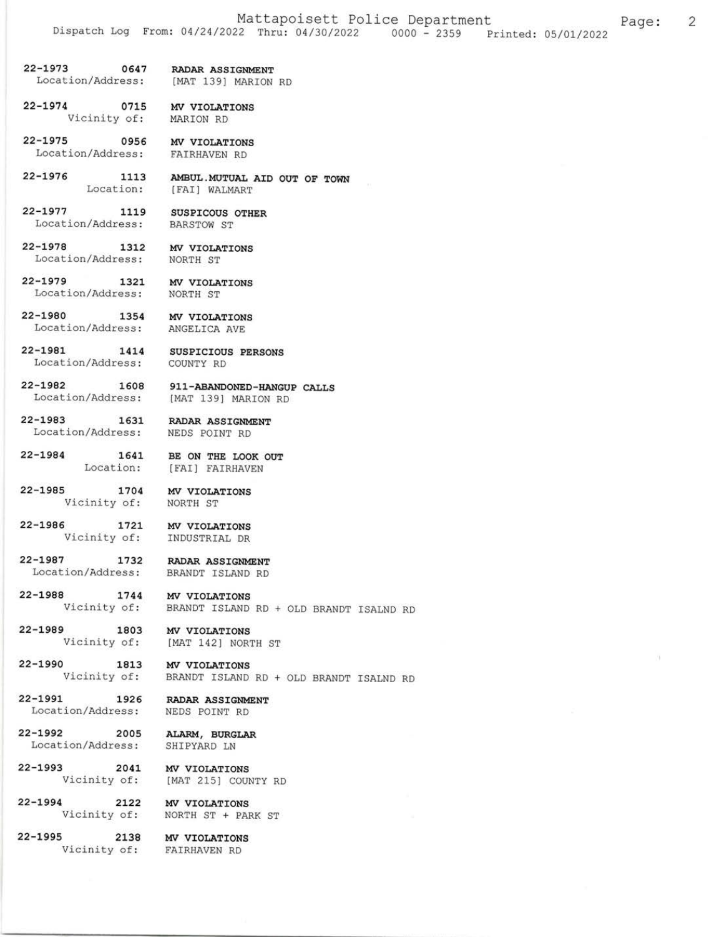Page:

2

- 22-L973 0647 Location/Address: IMAT 139] MARION RD RADAR ASSIGNMENT
- 22-1974 0715 MV VIOLAT<br>Vicinity of: MARION RD 0715 MV VIOLATIONS
- $22 1975$ Location/Address: FAIRHAVEN RD 0956 MV VIOLATIONS
- 22-L976 1113 AMBUL. MUTUAL AID OUT OF TOWN Location: [FAI] WALMART
- 22-L977 1119 Location/Address: SUSPICOUS OTHER BARSTOW ST
- $22 1978$ Location/Address: NORTH ST 1312 MV VIOLATIONS
- 22-1979 Location/Address: NORTH ST 1321 MV VIOLATIONS
- $22 1980$ Location/Address: ANGELTCA AVE 1354 MV VIOLATIONS
	-
- 22-L98L L4L4 SUSPICIOUS PERSONS Location/Address:
- 22-1982 Location/Address: 1608 911-ABANDONED-HANGUP CALLS IMAT 139] MARION RD
- $22 1983$ 
	- Location/Address: NEDS POINT RD RADAR ASSIGNMENT

COUNTY RD

- 22-L984 L64t BE ON THE LOOK OUT Location: [FAI] FAIRHAVEN
- 22-L985 L704 Vicinity of: MV VIOLATIONS NORTH ST
- 22-L986 L72t MV VIOLATIONS
- Vicinity of: 22-1987 ]NDUSTRIAL DR 1732 RADAR ASSIGNMENT
	- Location/Address: BRANDT ISLAND RD
- $22 1988$ 1744 MV VIOLATIONS
	- Vicinity of: BRANDT ISLAND RD + OLD BRANDT TSALND RD
- 22-L989 1803 Vicinity of: MV VIOLATIONS IMAT 1421 NORTH Sr
- 22-L990 1813 Vicinity of: BRANDT ISLAND RD + OLD BRANDT ISALND **MV VIOLATIONS**
- 22-L99t L926 Location/Address: RADAR ASSIGNMENT NEDS POINT RD
- 22-L992 2005 Location/Address: SHIPYARD LN ALARM, BURGLAR
- 22-t993 204L Vicinity of: MV VIOLATIONS [MAT 215] COUNTY RD
- 22-1994 2122 MV VIOLATIONS<br>Vicinity of: NORTH ST + PARK ST MV VTOLATIONS
- 22-1995 <sup>2138</sup> Vicinity of:
- MV VIOLATIONS EATRHAVEN RD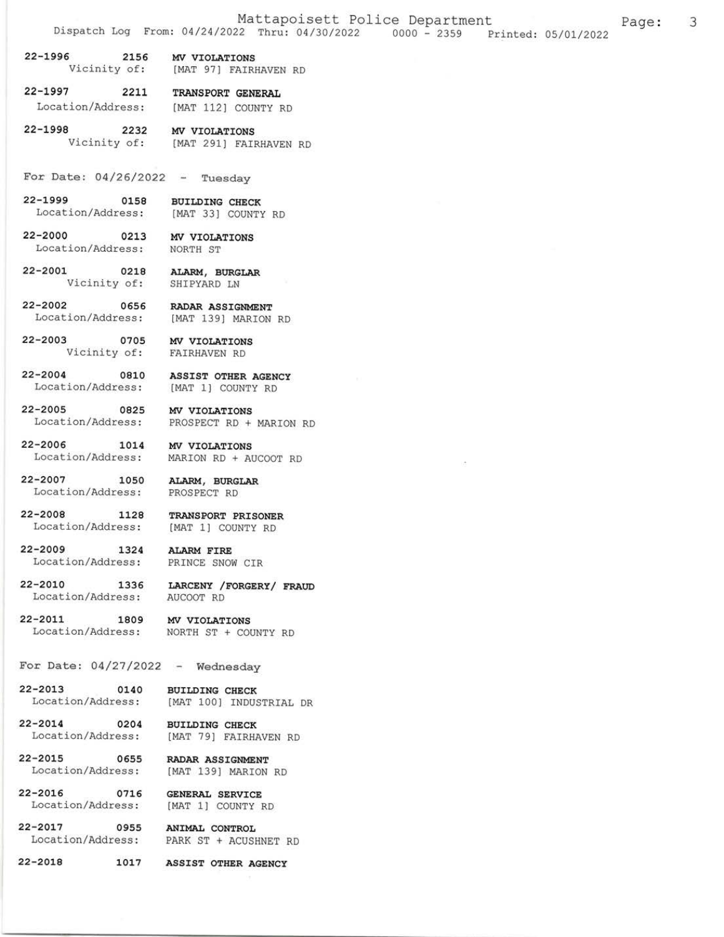22-1996 2156 MV VIOLATIONS Vicinity of: [MAT 97] FATRHAVEN RD

22-1997 2211 TRANSPORT GENERAL Location/Address: [MAT 112] COUNTY RD

22-1998 2232 MV VIOLATIONS<br>Vicinity of: [MAT 291] FAIR [MAT 291] FAIRHAVEN RD

For Date:  $04/26/2022 - Tuesday$ 

22-L999 0158 BUILDING CHECK Location/Address: [MAT 33] COUNTY RD

22-2000 0213 MV VIOLATIONS Location/Address: NORTH ST

22-2001 0218 ALARM, BURGLAR Vicinity of: SHIPYARD LN

22-2002 0656 RADAR ASSIGNMENT<br>Location/Address: [MAT 139] MARION [MAT 139] MARION RD

22-2003 0705 MV VIOLATIONS Vicinity of: FAIRHAVEN RD

22-2OO4 O81O ASSIST OTHER AGENCY Location/Address: [MAT 1] COUNTY RD

22-2005 0825 MV VIOLATIONS<br>Location/Address: PROSPECT RD + PROSPECT RD + MARION RD

22-2006 1014 MV VIOLATIONS Location/Address: MARION RD + AUCooT RD

22-2007 1050 ALARM, BURGLAR Location/Address: PROSPECT RD

22-2008 1128 TRANSPORT PRISONER<br>Location/Address: [MAT 1] COUNTY RD

22-2009 1324 ALARM FIRE Location/Address: pRINCE SNOW CIR

22-2010 1336 LARCENY /FORGERY/ FRAUD Location/Address: AUCOOTRD

22-2011 1809 MV VIOLATIONS<br>Location/Address: NORTH ST + CO NORTH ST + COUNTY RD

For Date:  $04/27/2022$  - Wednesday

22-2OL3 O14O BUILDING CHECK Location/Address: [MAT 100] INDUSTRIAL DR

22-2OL4 O2O4 BUILDING CHECK Location/Address: [MAT 79] FAIRHAVEN RD

22-2015 0655 RADAR ASSIGNMENT Location/Address: [MAT 139] MARION RD

22-2016 0716 GENERAL SERVICE<br>Location/Address: [MAT 1] COUNTY RD

22-2017 0955 ANIMAL CONTROL Location/Address: PARK ST + ACUSHNET RD

22-2018 1017 ASSIST OTHER AGENCY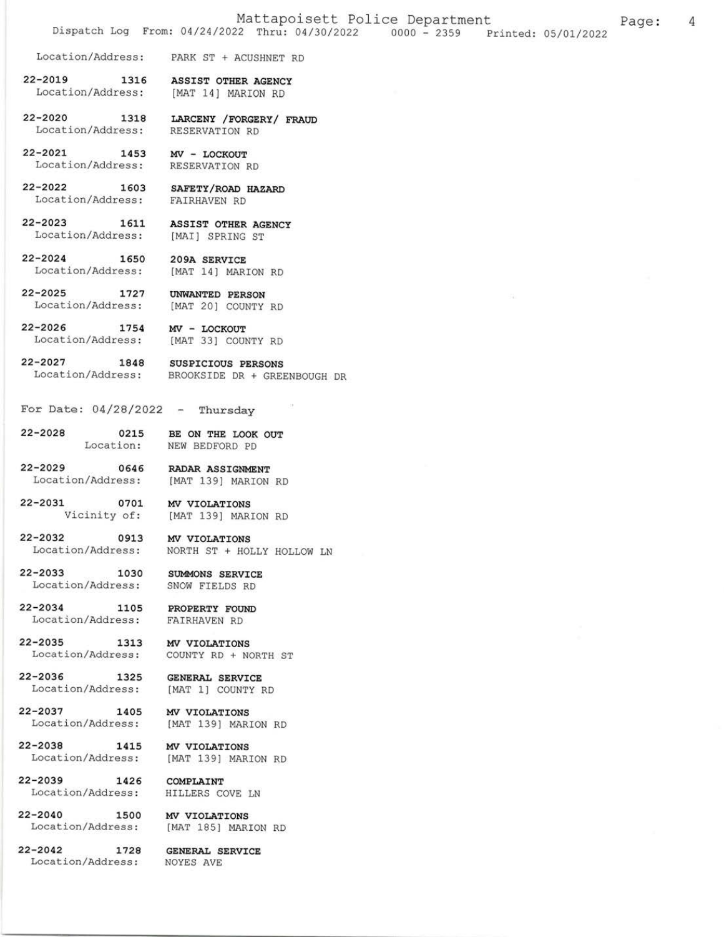Location/Address: PARK ST + ACUSHNET RD

22-20L9 1316 ASSIST OTHER AGENCY Location/Address: [MAT 14] MARION RD

22-2020 1318 LARCENY / FORGERY / FRAUD Location / Address: RESERVATION RD

22-2021 1453 MV - LOCKOUT<br>Location/Address: RESERVATIONRD

22-2022 1603 SAEETY/ROAD HAZARD Location/Address: EAIRHAVEN RD

22-2023 1611 ASSIST OTHER AGENCY<br>Location/Address: [MAI] SPRING ST

22-2024 1650 209A SERVICE<br>Location/Address: [MAT 14] MARION RD

22-2025 1727 UNWANTED PERSON<br>Location/Address: [MAT 20] COUNTY RD

22-2026 1754 MV - LOCKOUT<br>Location/Address: [MAT 33] COUNTY RD

22-2027 1848 susPrcrous PERSONS Location/Address: BROOKSIDE DR + GREENBOUGH DR

For Date:  $04/28/2022 -$  Thursday

22-2028 0215 BE ON THE LOOK OUT<br>Location: NEW BEDFORD PD NEW BEDFORD PD

22-2029 0646 RADAR ASSIGNMENT<br>Location/Address: [MAT 139] MARION [MAT 139] MARION RD

22-2031 0701 MV VIOLATIONS<br>Vicinity of: [MAT 139] MAR. [MAT 139] MARION RD

22-2032 0913 MV VIOLATIONS<br>Location/Address: NORTH ST + HOI NORTH ST + HOLLY HOLLOW LN

22-2033 1030 SUMMONS SERVTCE Location/Address: SNOW FIELDS RD

22-2034 1105 PROPERTY FOUND Location/Address: FAIRHAVEN RD

22-2035 1313 MV VIOLATIONS<br>Location/Address: COUNTY RD + NORTH ST

22-2036 1325 GENERAL SERVICE Location/Address: [MAT 1] COUNTY RD

22-2037 1405 MV VIOLATIONS Location/Address: [MAT 139] MARION RD

22-2038 1415 MV VIOLATIONS Location/Address: [MAT 139] MARION RD

22-2039 1426 COMPLAINT

Location/Address: HILLERS CoVE LN

22-2040 1500 MV VIOLATIONS<br>Location/Address: [MAT 185] MARION RD

22-2042 1728 GENERAL SERVICE<br>Location/Address: NOYES AVE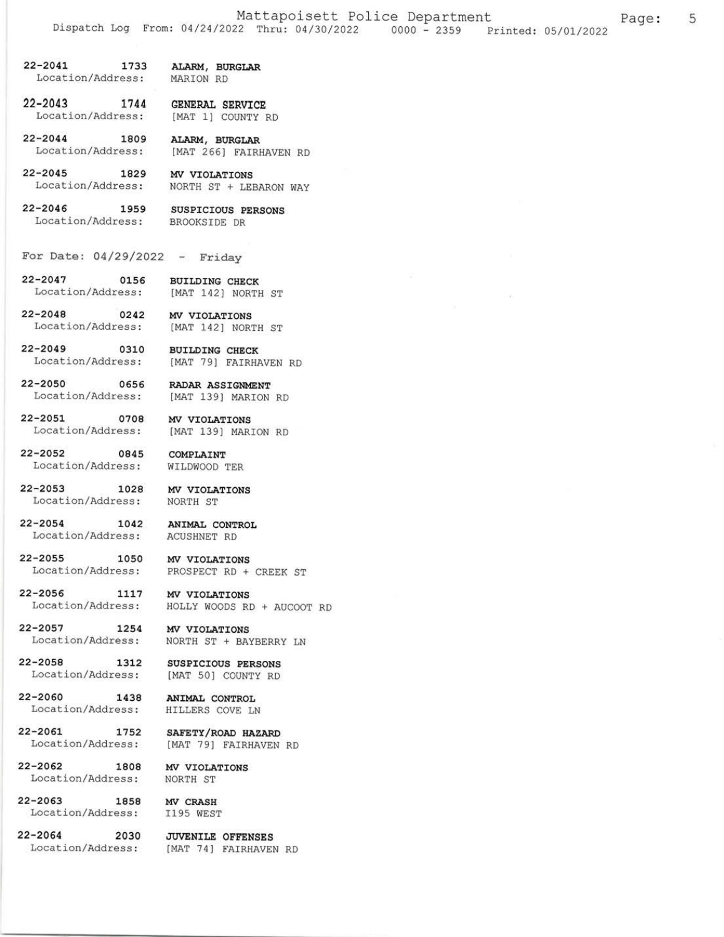5

- $22 2041$ 1733 ALARM, BURGLAR Location/Address: MARION RD
- 1744 GENERAL SERVICE  $22 - 2043$ Location/Address: [MAT 1] COUNTY RD
- $22 2044$ 1809 ALARM, BURGLAR Location/Address: [MAT 266] FAIRHAVEN RD
- $22 2045$ 1829 MV VIOLATIONS Location/Address: NORTH ST + LEBARON WAY
- $22 2046$ 1959 SUSPICIOUS PERSONS Location/Address: BROOKSIDE DR
- For Date:  $04/29/2022 -$  Friday
- $22 2047$ 0156 **BUILDING CHECK** Location/Address: [MAT 142] NORTH ST
- $22 2048$ Location/Address:

 $22 - 2050$ 

 $22 - 2054$ 

- 0242 MV VIOLATIONS [MAT 142] NORTH ST
- $22 2049$ 0310 **BUILDING CHECK** Location/Address: [MAT 79] FAIRHAVEN RD
	- 0656 RADAR ASSIGNMENT Location/Address: [MAT 139] MARION RD
- $22 2051$ 0708 MV VIOLATIONS Location/Address: [MAT 139] MARION RD
- $22 2052$ 0845 COMPLAINT Location/Address: WILDWOOD TER
- $22 2053$ 1028 MV VIOLATIONS Location/Address: NORTH ST
	- 1042 ANIMAL CONTROL Location/Address: **ACUSHNET RD**
- $22 2055$ 1050 MV VIOLATIONS Location/Address: PROSPECT RD + CREEK ST
- $22 2056$ 1117 MV VIOLATIONS Location/Address: HOLLY WOODS RD + AUCOOT RD
- $22 2057$ 1254 MV VIOLATIONS Location/Address: NORTH ST + BAYBERRY LN
- $22 2058$ 1312 Location/Address:
- $22 2060$ 1438 ANIMAL CONTROL Location/Address: HILLERS COVE LN
- $22 2061$ 1752 Location/Address:
- $22 2062$ 1808 Location/Address:
- $22 2063$ 1858 Location/Address:
- $22 2064$ 2030
- MV CRASH I195 WEST

MV VIOLATIONS

NORTH ST

**SUSPICIOUS PERSONS** 

[MAT 50] COUNTY RD

SAFETY/ROAD HAZARD

[MAT 79] FAIRHAVEN RD

**JUVENILE OFFENSES** Location/Address: [MAT 74] FAIRHAVEN RD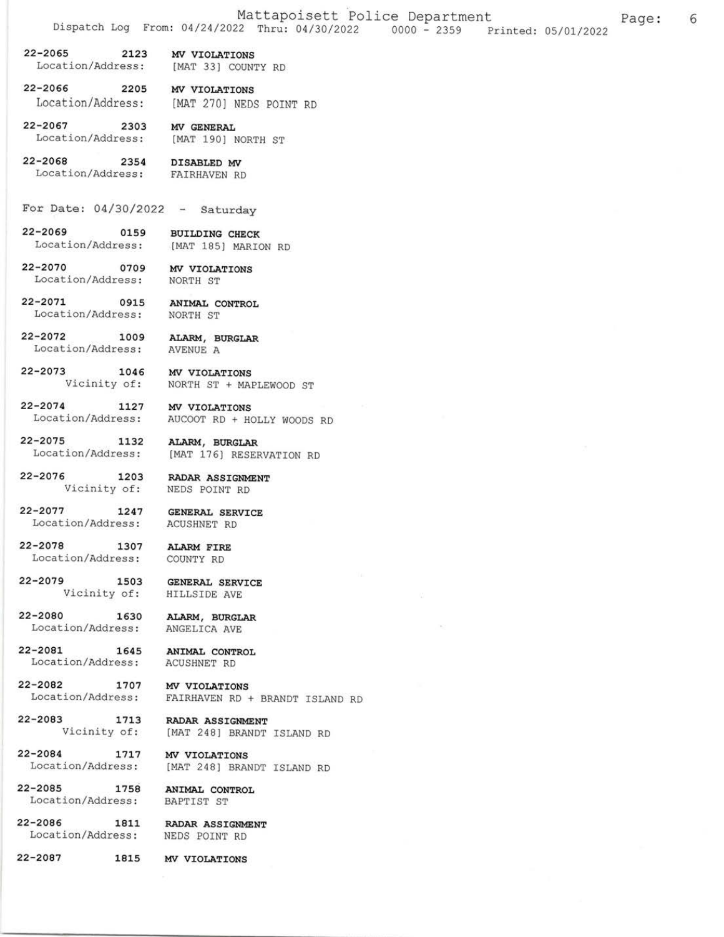6

 $22 - 2065$ 2123 MV VIOLATIONS

Location/Address: [MAT 33] COUNTY RD

 $22 - 2066$ 2205 MV VIOLATIONS Location/Address: [MAT 270] NEDS POINT RD

 $22 - 2067$ 2303 MV GENERAL Location/Address: [MAT 190] NORTH ST

2-2068 2354 DISABLED MV<br>Location/Address: FAIRHAVEN RD  $22 - 2068$ 

- For Date:  $04/30/2022 Saturday$
- $22 2069$ 0159 **BUILDING CHECK** Location/Address: [MAT 185] MARION RD

2-2070 0709 MV VIOLATIONS<br>Location/Address: NORTH ST  $22 - 2070$ 

22-2073

22-2071 0915 ANIMAL CONTROL Location/Address: NORTH ST

 $22 - 2072$ 1009 ALARM, BURGLAR AVENUE A Location/Address:

> 1046 MV VIOLATIONS Vicinity of: NORTH ST + MAPLEWOOD ST

> > **GENERAL SERVICE**

**GENERAL SERVICE** 

ACUSHNET RD

HILLSIDE AVE

 $22 - 2074$ 1127 MV VIOLATIONS Location/Address: AUCOOT RD + HOLLY WOODS RD

 $22 - 2075$ 1132 ALARM, BURGLAR Location/Address: [MAT 176] RESERVATION RD

 $22 - 2076$ 1203 RADAR ASSIGNMENT Vicinity of: NEDS POINT RD

 $22 - 2077$ 1247 Location/Address:

 $22 - 2078$ 1307 ALARM FIRE Location/Address: COUNTY RD

1707

22-2079 1503 Vicinity of:

 $22 - 2080$ 1630 ALARM, BURGLAR Location/Address: ANGELICA AVE

 $22 - 2081$ 1645 Location/Address:

22-2082

 $22 - 2083$ 

ANIMAL CONTROL **ACUSHNET RD** 

MV VIOLATIONS Location/Address: FAIRHAVEN RD + BRANDT ISLAND RD

1713 RADAR ASSIGNMENT Vicinity of: [MAT 248] BRANDT ISLAND RD

 $22 - 2084$ 1717 MV VIOLATIONS Location/Address: [MAT 248] BRANDT ISLAND RD

 $22 - 2085$ 1758 Location/Address:

ANIMAL CONTROL **BAPTIST ST** 

22-2086 1811 Location/Address:

**RADAR ASSIGNMENT** NEDS POINT RD

 $22 - 2087$ 1815 MV VIOLATIONS